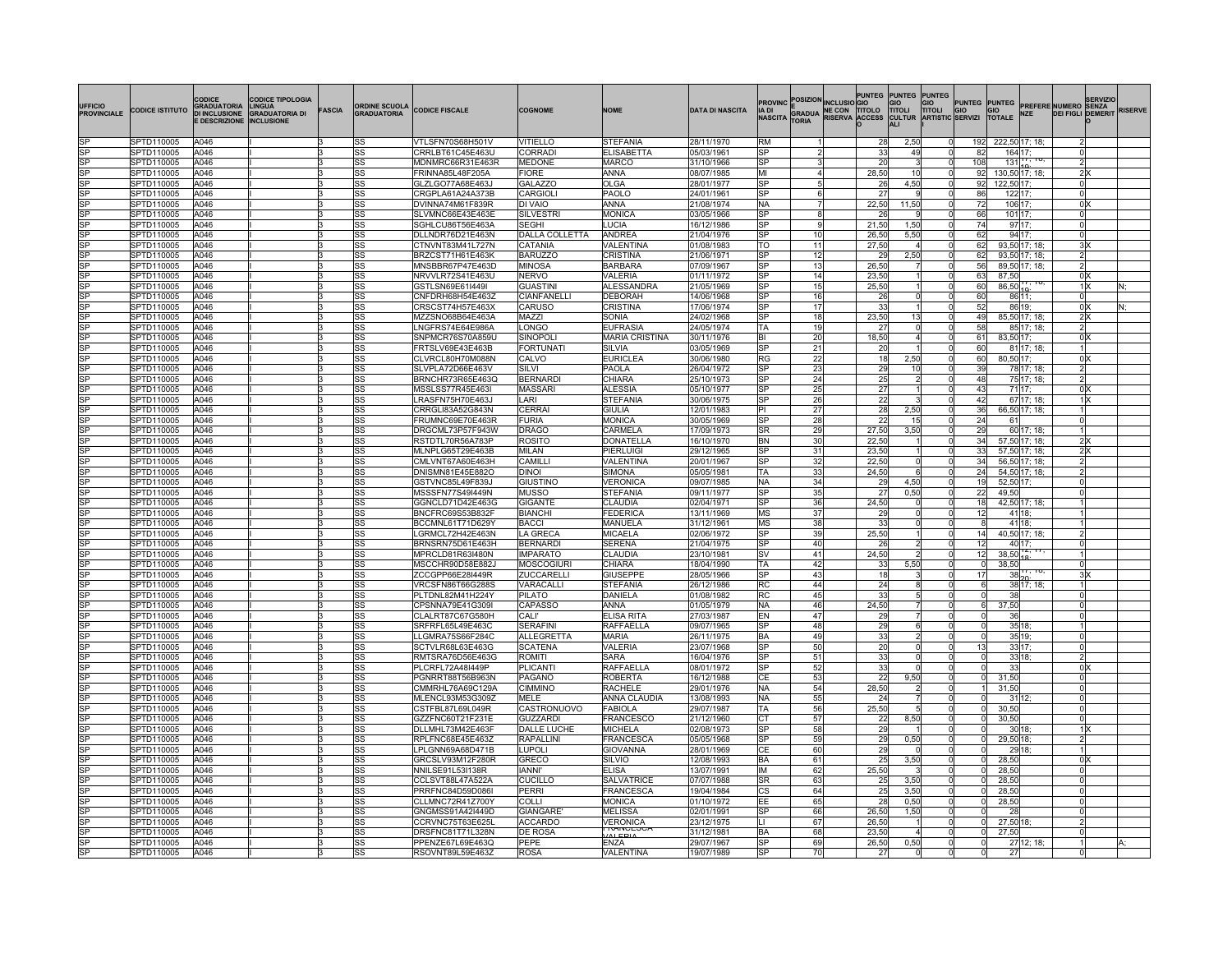| UFFICIO<br><b>PROVINCIALE</b> | <b>CODICE ISTITUTO</b>   | CODICE<br>GRADUATORIA<br><b>DI INCLUSIONE</b><br><b>E DESCRIZIONE</b> | ODICE TIPOLOGIA<br>LINGUA<br><b>GRADUATORIA DI</b><br>INCLUSIONE | <b>FASCIA</b> | <b>ORDINE SCUOLA</b><br><b>GRADUATORIA</b>       | <b>CODICE FISCALE</b>                | <b>COGNOME</b>                      | <b>NOME</b>                       | <b>DATA DI NASCITA</b>   | IA DI<br><b>NASCITA</b>  |                 | ROVINC POSIZION INCLUSIO GIO<br><b>E</b><br>GRADUA RISERVA ACCESS |                | PUNTEG PUNTEG PUNTEG<br>GIO<br>TITOLI<br>GIO<br><b>TITOLI</b><br><b>CULTUR</b> | <b>ARTISTIC SERVIZI</b>      |                           |                              | <b>SERVIZIO</b><br>PUNTEG PUNTEG PREFERE NUMERO SENZA<br>GIO GIO<br>SERVIZI TOTALE NZE DEIFIGLI DEMERI<br><b>DEI FIGLI DEMERIT</b> | <b>RISERVE</b> |
|-------------------------------|--------------------------|-----------------------------------------------------------------------|------------------------------------------------------------------|---------------|--------------------------------------------------|--------------------------------------|-------------------------------------|-----------------------------------|--------------------------|--------------------------|-----------------|-------------------------------------------------------------------|----------------|--------------------------------------------------------------------------------|------------------------------|---------------------------|------------------------------|------------------------------------------------------------------------------------------------------------------------------------|----------------|
|                               | SPTD110005               | A046                                                                  |                                                                  |               | <b>SS</b>                                        | VTLSFN70S68H501V                     | VITIELLO                            | <b>STEFANIA</b>                   | 28/11/1970               | <b>RM</b>                |                 |                                                                   | 28             | 2.50                                                                           |                              | 192                       | 222,50 17; 18;               |                                                                                                                                    |                |
| lsP                           | SPTD110005               | A046                                                                  |                                                                  |               | <b>SS</b>                                        | CRRLBT61C45E463U                     | <b>CORRADI</b>                      | <b>ELISABETTA</b>                 | 05/03/1961               | lsP                      |                 |                                                                   | 33             | 49                                                                             | <sub>0</sub>                 | 82                        | 164 17;                      | ΩI                                                                                                                                 |                |
| <b>SP</b>                     | SPTD110005               | A046                                                                  |                                                                  |               | <b>SS</b>                                        | MDNMRC66R31E463R                     | <b>MEDONE</b>                       | <b>MARCO</b>                      | 31/10/1966               | <b>SP</b>                |                 |                                                                   | 20             |                                                                                | ΩL                           | 108                       | $131$ , $10, 10$             | $\overline{2}$                                                                                                                     |                |
| lsP<br>SP                     | SPTD110005<br>SPTD110005 | A046<br>A046                                                          |                                                                  | k.<br>k.      | <b>SS</b>                                        | FRINNA85L48F205A<br>GLZLGO77A68E463J | <b>FIORE</b>                        | lanna<br><b>OLGA</b>              | 08/07/1985<br>28/01/1977 | lмı<br><b>SP</b>         |                 |                                                                   | 28.50<br>26    | 10<br>4.50                                                                     | <sub>0</sub><br>0            | 92<br>92                  | 130,50 17; 18;<br>122.50 17: | 2x<br><sub>0</sub>                                                                                                                 |                |
| SP                            | SPTD110005               | A046                                                                  |                                                                  | 3             | <b>SS</b><br><b>SS</b>                           | CRGPLA61A24A373B                     | <b>GALAZZO</b><br><b>CARGIOLI</b>   | PAOLO                             | 24/01/1961               | <b>ISP</b>               |                 |                                                                   | 27             |                                                                                | 0                            | 86                        | 122 17;                      | 0l                                                                                                                                 |                |
| SP                            | SPTD110005               | A046                                                                  |                                                                  | k.            | <b>SS</b>                                        | DVINNA74M61F839R                     | DI VAIO                             | ANNA                              | 21/08/1974               | <b>NA</b>                |                 |                                                                   | 22,50          | 11,50                                                                          | ΩL                           | 72                        | 106 17;                      | 0 <sup>x</sup>                                                                                                                     |                |
| lsp                           | SPTD110005               | A046                                                                  |                                                                  | lз            | <b>SS</b>                                        | SLVMNC66E43E463E                     | <b>SILVESTRI</b>                    | MONICA                            | 03/05/1966               | lsP                      | $\mathsf{R}$    |                                                                   | 26             |                                                                                | <sub>0</sub>                 | 66                        | 101 17:                      | <sub>0</sub>                                                                                                                       |                |
| lsP                           | SPTD110005               | A046                                                                  |                                                                  | l3            | <b>SS</b>                                        | SGHLCU86T56E463A                     | <b>SEGHI</b>                        | ILUCIA                            | 16/12/1986               | <b>SP</b>                |                 |                                                                   | 21.50          | 1,50                                                                           | ΩI                           | 74                        | 97 17:                       | 0l                                                                                                                                 |                |
| SP                            | SPTD110005               | A046                                                                  |                                                                  |               | <b>SS</b>                                        | DLLNDR76D21E463N                     | <b>DALLA COLLETTA</b>               | <b>ANDREA</b>                     | 21/04/1976               | <b>SP</b>                | 10              |                                                                   | 26,50          | 5,50                                                                           | <sub>0</sub>                 | 62                        | 94 17;                       | 0l                                                                                                                                 |                |
| SP                            | SPTD110005               | A046                                                                  |                                                                  |               | SS                                               | CTNVNT83M41L727N                     | CATANIA                             | VALENTINA                         | 01/08/1983               | lto                      | 11              |                                                                   | 27.50          |                                                                                | 0                            | 62                        | 93.50 17: 18:                | 3x                                                                                                                                 |                |
| lsP                           | SPTD110005               | A046                                                                  |                                                                  |               | <b>SS</b>                                        | BRZCST71H61E463K                     | <b>BARUZZC</b>                      | <b>CRISTINA</b>                   | 21/06/1971               | <b>SP</b>                | 12              |                                                                   | 2 <sup>c</sup> | 2,50                                                                           | $\Omega$                     | 62                        | 93,50 17; 18;                | $\overline{2}$                                                                                                                     |                |
| SP                            | SPTD110005               | A046                                                                  |                                                                  |               | <b>SS</b>                                        | MNSBBR67P47E463D                     | <b>MINOSA</b>                       | <b>BARBARA</b>                    | 07/09/1967               | lsP.                     | 13              |                                                                   | 26,50          |                                                                                | 0l                           | 56                        | 89,50 17; 18;                | $\overline{2}$                                                                                                                     |                |
| SP                            | SPTD110005               | A046                                                                  |                                                                  |               | <b>SS</b>                                        | NRVVLR72S41E463U                     | NERVO                               | VALERIA                           | 01/11/1972               | <b>SP</b>                | 14              |                                                                   | 23,50          |                                                                                | $\Omega$                     | 63                        | 87.50                        | $0 \times$                                                                                                                         |                |
| SP<br>SP                      | SPTD110005<br>SPTD110005 | A046<br>A046                                                          |                                                                  |               | <b>SS</b><br><b>SS</b>                           | GSTLSN69E61I449I<br>CNFDRH68H54E4632 | <b>GUASTINI</b><br>CIANFANELLI      | ALESSANDRA<br><b>DEBORAH</b>      | 21/05/1969<br>14/06/1968 | lsP<br>lsP               | 15<br>16        |                                                                   | 25,50<br>26    |                                                                                | <sub>0</sub><br><sub>0</sub> | 60<br>60                  | 86,50<br>86 11;              | 1 X<br>0l                                                                                                                          |                |
| SP                            | SPTD110005               | A046                                                                  |                                                                  |               | SS                                               | CRSCST74H57E463X                     | CARUSO                              | <b>CRISTINA</b>                   | 17/06/1974               | <b>SP</b>                | 17              |                                                                   | 33             |                                                                                | 0                            | 52                        | 86 19;                       | 0 X                                                                                                                                |                |
| SP                            | SPTD110005               | A046                                                                  |                                                                  |               | <b>SS</b>                                        | MZZSNO68B64E463A                     | MAZZI                               | <b>SONIA</b>                      | 24/02/1968               | lsP                      | 18              |                                                                   | 23,50          | 13                                                                             | $\Omega$                     | 49                        | 85,50 17; 18;                | 2 X                                                                                                                                |                |
| SP                            | SPTD110005               | A046                                                                  |                                                                  |               | <b>SS</b>                                        | LNGFRS74E64E986A                     | LONGO                               | <b>EUFRASIA</b>                   | 24/05/1974               | TA                       | 19              |                                                                   | 27             |                                                                                | $\Omega$                     | 58                        | 85 17; 18;                   | $\overline{2}$                                                                                                                     |                |
| SP                            | SPTD110005               | A046                                                                  |                                                                  |               | SS                                               | SNPMCR76S70A859L                     | <b>SINOPOL</b>                      | <b>MARIA CRISTINA</b>             | 30/11/1976               | BI                       | 20 <sub>l</sub> |                                                                   | 18,50          | $\overline{4}$                                                                 | 0                            | 61                        | 83,50 17;                    | 0 X                                                                                                                                |                |
| SP                            | SPTD110005               | A046                                                                  |                                                                  |               | <b>SS</b>                                        | FRTSLV69E43E463B                     | <b>FORTUNATI</b>                    | <b>SILVIA</b>                     | 03/05/1969               | <b>SP</b>                | 21              |                                                                   | 20             |                                                                                | $\mathbf{0}$                 | 60                        | 81 17; 18;                   |                                                                                                                                    |                |
|                               | SPTD110005               | A046                                                                  |                                                                  |               | <b>SS</b>                                        | CLVRCL80H70M088N                     | CALVO                               | <b>EURICLEA</b>                   | 30/06/1980               | <b>RG</b>                | 22              |                                                                   | 18             | 2,50                                                                           | $\Omega$                     | 60                        | 80,50 17;                    | $0 \times$                                                                                                                         |                |
|                               | SPTD110005               | A046                                                                  |                                                                  |               | SS                                               | SLVPLA72D66E463V                     | SILVI                               | PAOLA                             | 26/04/1972               | <b>ISP</b>               | 23              |                                                                   | 29             | 10                                                                             | 0                            | 39                        | 78 17; 18;                   | 2 <sup>1</sup>                                                                                                                     |                |
|                               | SPTD110005               | A046                                                                  |                                                                  |               | <b>SS</b>                                        | BRNCHR73R65E463Q                     | <b>BERNARD</b>                      | <b>CHIARA</b>                     | 25/10/1973               | <b>SP</b>                | 24              |                                                                   | 25             | $\overline{2}$                                                                 | $\overline{0}$               | 48                        | 75 17; 18;                   | $\overline{2}$                                                                                                                     |                |
|                               | SPTD110005               | A046                                                                  |                                                                  |               | <b>SS</b>                                        | MSSLSS77R45E463I                     | MASSARI                             | <b>ALESSIA</b>                    | 05/10/1977               | <b>SP</b>                | 25              |                                                                   | 27             |                                                                                | $\mathbf{0}$                 | 43                        | 71 17;                       | $0 \times$                                                                                                                         |                |
| SP                            | SPTD110005               | A046                                                                  |                                                                  |               | SS                                               | LRASFN75H70E463J                     | LARI                                | STEFANIA                          | 30/06/1975               | lsP<br>IЫ                | 26              |                                                                   | 22             |                                                                                | 0                            | 42                        | 67 17; 18;                   | 1 X                                                                                                                                |                |
| SP                            | SPTD110005<br>SPTD110005 | A046<br>A046                                                          |                                                                  |               | <b>SS</b><br><b>SS</b>                           | CRRGLI83A52G843N<br>FRUMNC69E70E463F | CERRAI<br><b>FURIA</b>              | <b>GIULIA</b><br>MONICA           | 12/01/1983<br>30/05/1969 | <b>SP</b>                | 27<br>28        |                                                                   | 28<br>22       | 2,50<br>15                                                                     | 0<br>$\overline{0}$          | 36<br>24                  | 66,50 17; 18;<br>61          | <sub>0</sub>                                                                                                                       |                |
|                               | SPTD110005               | A046                                                                  |                                                                  |               | <b>SS</b>                                        | DRGCML73P57F943W                     | <b>DRAGO</b>                        | CARMELA                           | 17/09/1973               | <b>SR</b>                | 29              |                                                                   | 27,50          | 3,50                                                                           | 0                            | 29                        | 60 17; 18;                   |                                                                                                                                    |                |
| SP                            | SPTD110005               | A046                                                                  |                                                                  |               | <b>SS</b>                                        | RSTDTL70R56A783P                     | <b>ROSITO</b>                       | DONATELLA                         | 16/10/1970               | <b>BN</b>                | 30              |                                                                   | 22,50          |                                                                                | 0                            | 34                        | 57,50 17; 18;                | 2 X                                                                                                                                |                |
| SP                            | SPTD110005               | A046                                                                  |                                                                  |               | <b>SS</b>                                        | MLNPLG65T29E463B                     | MILAN                               | PIERLUIGI                         | 29/12/1965               | <b>SP</b>                | 31              |                                                                   | 23,50          |                                                                                | 0                            | 33                        | 57.50 17: 18:                | 2 X                                                                                                                                |                |
| <b>ISP</b>                    | SPTD110005               | A046                                                                  |                                                                  |               | <b>SS</b>                                        | CMLVNT67A60E463H                     | CAMILLI                             | VALENTINA                         | 20/01/1967               | <b>SP</b>                | 32              |                                                                   | 22,50          | 0                                                                              | 0                            | 34                        | 56,50 17; 18;                | $2\vert$                                                                                                                           |                |
| SP                            | SPTD110005               | A046                                                                  |                                                                  |               | <b>SS</b>                                        | DNISMN81E45E882O                     | DINOL                               | <b>SIMONA</b>                     | 05/05/1981               | TA                       | 33              |                                                                   | 24,50          | 6                                                                              | <sup>o</sup>                 | 24                        | 54,50 17; 18;                | $\overline{2}$                                                                                                                     |                |
| SP                            | SPTD110005               | A046                                                                  |                                                                  |               | <b>SS</b>                                        | GSTVNC85L49F839J                     | <b>GIUSTINO</b>                     | VERONICA                          | 09/07/1985               | <b>INA</b>               | 34              |                                                                   | 29             | 4,50                                                                           | 0                            | 19                        | 52,50 17;                    | 0l                                                                                                                                 |                |
| SP                            | SPTD110005               | A046                                                                  |                                                                  |               | <b>SS</b>                                        | MSSSFN77S49I449N                     | <b>MUSSO</b>                        | <b>STEFANIA</b>                   | 09/11/1977               | <b>SP</b>                | 35              |                                                                   | 27             | 0,50                                                                           | $\Omega$                     | 22                        | 49,50                        | 0l                                                                                                                                 |                |
| SP                            | SPTD110005               | A046                                                                  |                                                                  |               | <b>SS</b>                                        | GGNCLD71D42E463G                     | <b>GIGANTE</b>                      | CLAUDIA                           | 02/04/1971               | $S$ <sub>P</sub>         | 36              |                                                                   | 24,50          | 0                                                                              | 0                            | 18                        | 42,50 17; 18;                |                                                                                                                                    |                |
| SP                            | SPTD110005               | A046                                                                  |                                                                  |               | <b>SS</b>                                        | BNCFRC69S53B832F                     | <b>BIANCHI</b>                      | FEDERICA                          | 13/11/1969               | MS                       | 37              |                                                                   | 29             | 0                                                                              | 0                            | 12                        | 41 18;                       |                                                                                                                                    |                |
| ISP                           | SPTD110005               | A046                                                                  |                                                                  |               | <b>SS</b>                                        | BCCMNL61T71D629Y                     | <b>BACCI</b>                        | MANUELA                           | 31/12/1961               | MS                       | 38              |                                                                   | 33             | 0                                                                              | 0                            | 8                         | 41 18;                       |                                                                                                                                    |                |
| SP<br>SP                      | SPTD110005<br>SPTD110005 | A046<br>A046                                                          |                                                                  |               | <b>SS</b><br><b>SS</b>                           | LGRMCL72H42E463N<br>BRNSRN75D61E463H | LA GRECA<br>BERNARDI                | MICAELA<br><b>SERENA</b>          | 02/06/1972<br>21/04/1975 | <b>SP</b><br>$_{\rm SP}$ | 39<br>40        |                                                                   | 25,50<br>-26   | $\overline{2}$                                                                 | 0<br>$\overline{0}$          | 14<br>12                  | 40,50 17; 18;<br>40 17:      | $\overline{2}$<br>ΩI                                                                                                               |                |
| SP                            | SPTD110005               | A046                                                                  |                                                                  |               | <b>SS</b>                                        | MPRCLD81R63I480N                     | <b>IMPARATO</b>                     | <b>CLAUDIA</b>                    | 23/10/1981               | <b>ISV</b>               | 41              |                                                                   | 24,50          | $\overline{2}$                                                                 | 0                            | 12                        | 38,50                        |                                                                                                                                    |                |
| SP                            | SPTD110005               | A046                                                                  |                                                                  |               | <b>SS</b>                                        | MSCCHR90D58E882、                     | MOSCOGIUR                           | <b>CHIARA</b>                     | 18/04/1990               | TA                       | 42              |                                                                   | 33             | 5,50                                                                           | 0                            | $\tilde{Q}$               | 38,50                        | <sub>0</sub>                                                                                                                       |                |
|                               | SPTD110005               | A046                                                                  |                                                                  |               | SS                                               | ZCCGPP66E28I449R                     | ZUCCARELLI                          | <b>GIUSEPPE</b>                   | 28/05/1966               | <b>SP</b>                | 43              |                                                                   | 18             |                                                                                | 0                            | 17                        | 38                           | 3 X                                                                                                                                |                |
| SP                            | SPTD110005               | A046                                                                  |                                                                  |               | <b>SS</b>                                        | VRCSFN86T66G288S                     | VARACALLI                           | <b>STEFANIA</b>                   | 26/12/1986               | <b>RC</b>                | 44              |                                                                   | 24             | 8                                                                              | $\overline{0}$               | 6                         | 38 17; 18;                   |                                                                                                                                    |                |
| SP                            | SPTD110005               | A046                                                                  |                                                                  |               | SS                                               | PLTDNL82M41H224Y                     | PILATO                              | <b>DANIELA</b>                    | 01/08/1982               | <b>RC</b>                | 45              |                                                                   | 33             |                                                                                | 0                            |                           | -38                          | $\Omega$                                                                                                                           |                |
| SP                            | SPTD110005               | A046                                                                  |                                                                  |               | <b>SS</b>                                        | CPSNNA79E41G309I                     | CAPASSO                             | ANNA                              | 01/05/1979               | <b>INA</b>               | 46              |                                                                   | 24,50          | 7                                                                              | 0                            |                           | 37,50                        | <sub>0</sub>                                                                                                                       |                |
| $\overline{P}$                | SPTD110005               | A046                                                                  |                                                                  |               | $\overline{\text{ss}}$                           | CLALRT87C67G580H                     | CALI'                               | <b>ELISA RITA</b>                 | 27/03/1987               | EN                       | 47              |                                                                   | 29             |                                                                                |                              |                           | 36                           | ΩI                                                                                                                                 |                |
| SP<br>SP                      | SPTD110005               | A046                                                                  |                                                                  |               | $\overline{\text{ss}}$                           | SRFRFL65L49E463C                     | <b>SERAFINI</b>                     | <b>RAFFAELLA</b>                  | 09/07/1965               | <b>SP</b>                | 48              |                                                                   | 29             | 6                                                                              | $\Omega$                     |                           | 35 18;                       |                                                                                                                                    |                |
| $\overline{P}$                | SPTD110005<br>SPTD110005 | A046<br>A046                                                          |                                                                  |               | <b>SS</b>                                        | LLGMRA75S66F284C<br>SCTVLR68L63E463G | <b>ALLEGRETTA</b><br><b>SCATENA</b> | MARIA<br><b>VALERIA</b>           | 26/11/1975<br>23/07/1968 | <b>IBA</b><br>SP         | 49              |                                                                   | 33             | $\overline{2}$                                                                 |                              |                           | 35 19;                       | $\Omega$                                                                                                                           |                |
| SP                            | SPTD110005               | A046                                                                  |                                                                  |               | $\overline{\text{ss}}$<br>$\overline{\text{ss}}$ | RMTSRA76D56E463G                     | <b>ROMITI</b>                       | <b>SARA</b>                       | 16/04/1976               | <b>SP</b>                | 50<br>51        |                                                                   | 20<br>33       | 0<br>$\Omega$                                                                  |                              | 13<br>$\Omega$            | 33 17;<br>33 18;             | 01<br>$\overline{2}$                                                                                                               |                |
| SP                            | SPTD110005               | A046                                                                  |                                                                  |               | <b>SS</b>                                        | PLCRFL72A48I449P                     | PLICANTI                            | <b>RAFFAELLA</b>                  | 08/01/1972               | lsP                      | 52              |                                                                   | 33             |                                                                                |                              |                           | 33                           | 0 <sup>X</sup>                                                                                                                     |                |
| SP                            | SPTD110005               | A046                                                                  |                                                                  |               | SS                                               | PGNRRT88T56B963N                     | PAGANO                              | <b>ROBERTA</b>                    | 16/12/1988               | CF                       | 53              |                                                                   | 22             | 9,50                                                                           | $\Omega$                     | 0                         | 31,50                        | 0l                                                                                                                                 |                |
| SP                            | SPTD110005               | A046                                                                  |                                                                  |               | SS                                               | CMMRHL76A69C129A                     | <b>CIMMINO</b>                      | <b>RACHELE</b>                    | 29/01/1976               | <b>NA</b>                | 54              |                                                                   | 28,50          |                                                                                |                              |                           | 31,50                        | 0l                                                                                                                                 |                |
| lsp                           | SPTD110005               | A046                                                                  |                                                                  |               | <b>SS</b>                                        | MLENCL93M53G309Z                     | <b>MELE</b>                         | <b>ANNA CLAUDIA</b>               | 13/08/1993               | <b>NA</b>                | 55              |                                                                   | 24             |                                                                                | $\Omega$                     | $\Omega$                  | 31 12;                       | 0l                                                                                                                                 |                |
| SP                            | SPTD110005               | A046                                                                  |                                                                  |               | <b>SS</b>                                        | CSTFBL87L69L049R                     | CASTRONUOVO                         | <b>FABIOLA</b>                    | 29/07/1987               | TA                       | 56              |                                                                   | 25,50          |                                                                                | $\mathbf 0$                  | $\Omega$                  | 30.50                        | <sub>0</sub>                                                                                                                       |                |
| SP                            | SPTD110005               | A046                                                                  |                                                                  |               | <b>SS</b>                                        | GZZFNC60T21F231E                     | <b>GUZZARDI</b>                     | FRANCESCO                         | 21/12/1960               | IСТ                      | 57              |                                                                   | 22             | 8,50                                                                           | $\mathbf 0$                  | 0                         | 30,50                        | 0l                                                                                                                                 |                |
| lsP                           | SPTD110005               | A046                                                                  |                                                                  |               | <b>SS</b>                                        | DLLMHL73M42E463F                     | DALLE LUCHE                         | <b>MICHELA</b>                    | 02/08/1973               | lsP                      | 58              |                                                                   | 29             |                                                                                | $\Omega$                     | $\Omega$                  | 30 18                        | 1 X                                                                                                                                |                |
| lsP                           | SPTD110005               | A046                                                                  |                                                                  |               | <b>SS</b>                                        | RPLFNC68E45E463Z                     | RAPALLINI                           | FRANCESCA                         | 05/05/1968               | lsP                      | 59              |                                                                   | 29             | 0,50                                                                           | $\Omega$                     | $\Omega$                  | 29,50 18;                    | $\overline{2}$                                                                                                                     |                |
| SP                            | SPTD110005               | A046                                                                  |                                                                  |               | <b>SS</b>                                        | LPLGNN69A68D471B                     | LUPOLI                              | <b>GIOVANNA</b>                   | 28/01/1969               | IСE                      | 60              |                                                                   | 29             |                                                                                | $\mathbf 0$                  | 0                         | 29 18:                       |                                                                                                                                    |                |
| SP                            | SPTD110005               | A046                                                                  |                                                                  |               | <b>SS</b>                                        | GRCSLV93M12F280R                     | GRECO                               | SILVIO                            | 12/08/1993               | BA                       | 61              |                                                                   | 25             | 3,50                                                                           | $\mathbf 0$                  | <sub>0</sub>              | 28,50                        | $0 \times$                                                                                                                         |                |
| lsP<br>SP                     | SPTD110005<br>SPTD110005 | A046<br>A046                                                          |                                                                  |               | SS                                               | NNILSE91L53I138R<br>CCLSVT88L47A522A | <b>IANNI'</b><br><b>CUCILLO</b>     | <b>ELISA</b><br><b>SALVATRICE</b> | 13/07/1991<br>07/07/1988 | lıм<br><b>SR</b>         | 62<br>63        |                                                                   | 25.50<br>25    | 3,50                                                                           | $\Omega$<br>$\mathbf 0$      | $\circ$<br>$\overline{0}$ | 28.50<br>28,50               | <sub>0</sub><br>0l                                                                                                                 |                |
| SP                            | SPTD110005               | A046                                                                  |                                                                  |               | <b>SS</b><br><b>SS</b>                           | PRRFNC84D59D086                      | PFRRI                               | <b>FRANCESCA</b>                  | 19/04/1984               | CS                       | 64              |                                                                   | 25             | 3,50                                                                           | $\mathbf 0$                  | $\circ$                   | 28,50                        | 0l                                                                                                                                 |                |
| SP                            | SPTD110005               | A046                                                                  |                                                                  |               | <b>SS</b>                                        | CLLMNC72R41Z700\                     | COLLI                               | MONICA                            | 01/10/1972               | EE                       | 65              |                                                                   | 28             | 0,50                                                                           | $\overline{0}$               | $\circ$                   | 28,50                        | 0l                                                                                                                                 |                |
| SP                            | SPTD110005               | A046                                                                  |                                                                  |               | <b>SS</b>                                        | GNGMSS91A42I449D                     | <b>GIANGARE</b>                     | MELISSA                           | 02/01/1991               | lsp                      | 66              |                                                                   | 26,50          | 1,50                                                                           |                              | $\mathbf 0$               | 28                           | $\Omega$                                                                                                                           |                |
|                               | SPTD110005               | A046                                                                  |                                                                  |               | SS                                               | CCRVNC75T63E625L                     | <b>ACCARDO</b>                      | VERONICA                          | 23/12/1975               |                          | 67              |                                                                   | 26,50          |                                                                                |                              | <sub>0</sub>              | 27,50 18                     |                                                                                                                                    |                |
|                               | SPTD110005               | A046                                                                  |                                                                  |               | SS                                               | DRSFNC81T71L328N                     | DE ROSA                             | <b>RANGES</b><br><b>VALEDIA</b>   | 31/12/1981               | BA                       | 68              |                                                                   | 23,50          |                                                                                |                              | 0                         | 27,50                        |                                                                                                                                    |                |
| SP                            | SPTD110005               | A046                                                                  |                                                                  |               | SS                                               | PPENZE67L69E463Q                     | PEPE                                | FN7A                              | 29/07/1967               | lsP                      | 69              |                                                                   | 26,50          | 0.50                                                                           |                              | $\Omega$                  | 27 12; 18;                   |                                                                                                                                    |                |
| SP                            | SPTD110005               | A046                                                                  |                                                                  |               | SS                                               | RSOVNT89L59E463Z                     | <b>ROSA</b>                         | VALENTINA                         | 19/07/1989               | lsP                      | 70              |                                                                   | 27             |                                                                                |                              | 0                         | 27                           |                                                                                                                                    |                |